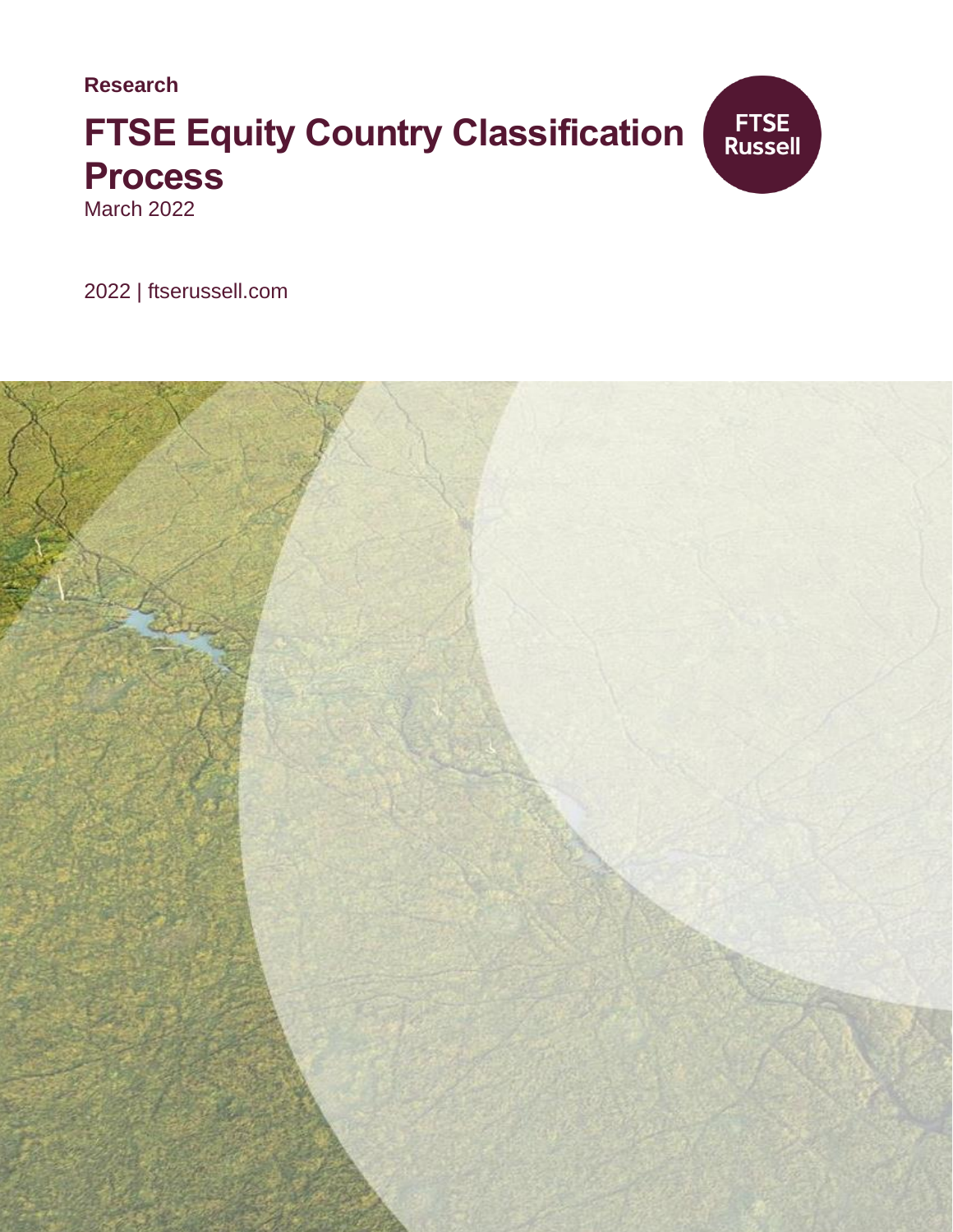**Research**

# **FTSE Equity Country Classification Process**



March 2022

2022 | ftserussell.com

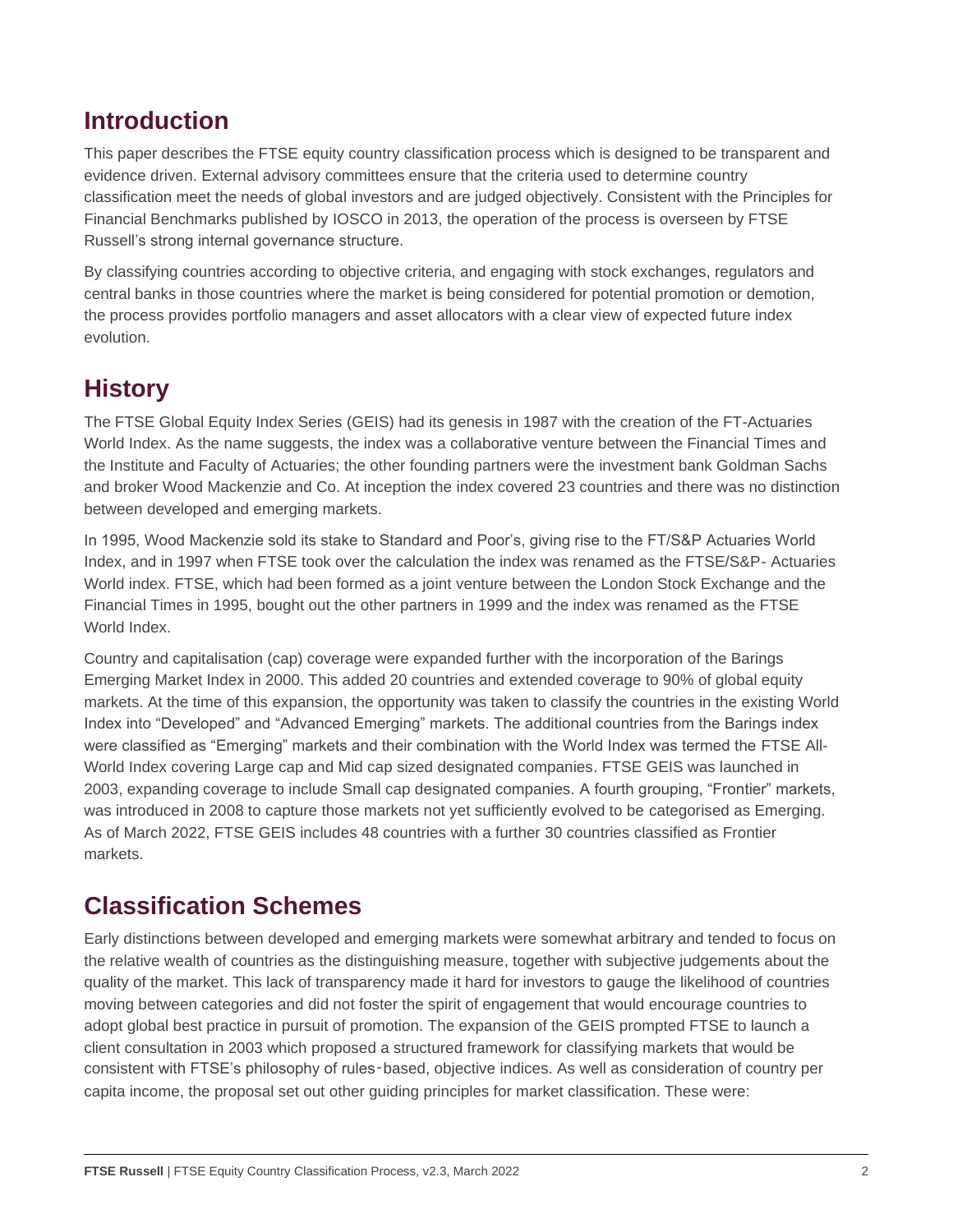# **Introduction**

This paper describes the FTSE equity country classification process which is designed to be transparent and evidence driven. External advisory committees ensure that the criteria used to determine country classification meet the needs of global investors and are judged objectively. Consistent with the Principles for Financial Benchmarks published by IOSCO in 2013, the operation of the process is overseen by FTSE Russell's strong internal governance structure.

By classifying countries according to objective criteria, and engaging with stock exchanges, regulators and central banks in those countries where the market is being considered for potential promotion or demotion, the process provides portfolio managers and asset allocators with a clear view of expected future index evolution.

# **History**

The FTSE Global Equity Index Series (GEIS) had its genesis in 1987 with the creation of the FT-Actuaries World Index. As the name suggests, the index was a collaborative venture between the Financial Times and the Institute and Faculty of Actuaries; the other founding partners were the investment bank Goldman Sachs and broker Wood Mackenzie and Co. At inception the index covered 23 countries and there was no distinction between developed and emerging markets.

In 1995, Wood Mackenzie sold its stake to Standard and Poor's, giving rise to the FT/S&P Actuaries World Index, and in 1997 when FTSE took over the calculation the index was renamed as the FTSE/S&P- Actuaries World index. FTSE, which had been formed as a joint venture between the London Stock Exchange and the Financial Times in 1995, bought out the other partners in 1999 and the index was renamed as the FTSE World Index

Country and capitalisation (cap) coverage were expanded further with the incorporation of the Barings Emerging Market Index in 2000. This added 20 countries and extended coverage to 90% of global equity markets. At the time of this expansion, the opportunity was taken to classify the countries in the existing World Index into "Developed" and "Advanced Emerging" markets. The additional countries from the Barings index were classified as "Emerging" markets and their combination with the World Index was termed the FTSE All-World Index covering Large cap and Mid cap sized designated companies. FTSE GEIS was launched in 2003, expanding coverage to include Small cap designated companies. A fourth grouping, "Frontier" markets, was introduced in 2008 to capture those markets not yet sufficiently evolved to be categorised as Emerging. As of March 2022, FTSE GEIS includes 48 countries with a further 30 countries classified as Frontier markets.

# **Classification Schemes**

Early distinctions between developed and emerging markets were somewhat arbitrary and tended to focus on the relative wealth of countries as the distinguishing measure, together with subjective judgements about the quality of the market. This lack of transparency made it hard for investors to gauge the likelihood of countries moving between categories and did not foster the spirit of engagement that would encourage countries to adopt global best practice in pursuit of promotion. The expansion of the GEIS prompted FTSE to launch a client consultation in 2003 which proposed a structured framework for classifying markets that would be consistent with FTSE's philosophy of rules-based, objective indices. As well as consideration of country per capita income, the proposal set out other guiding principles for market classification. These were: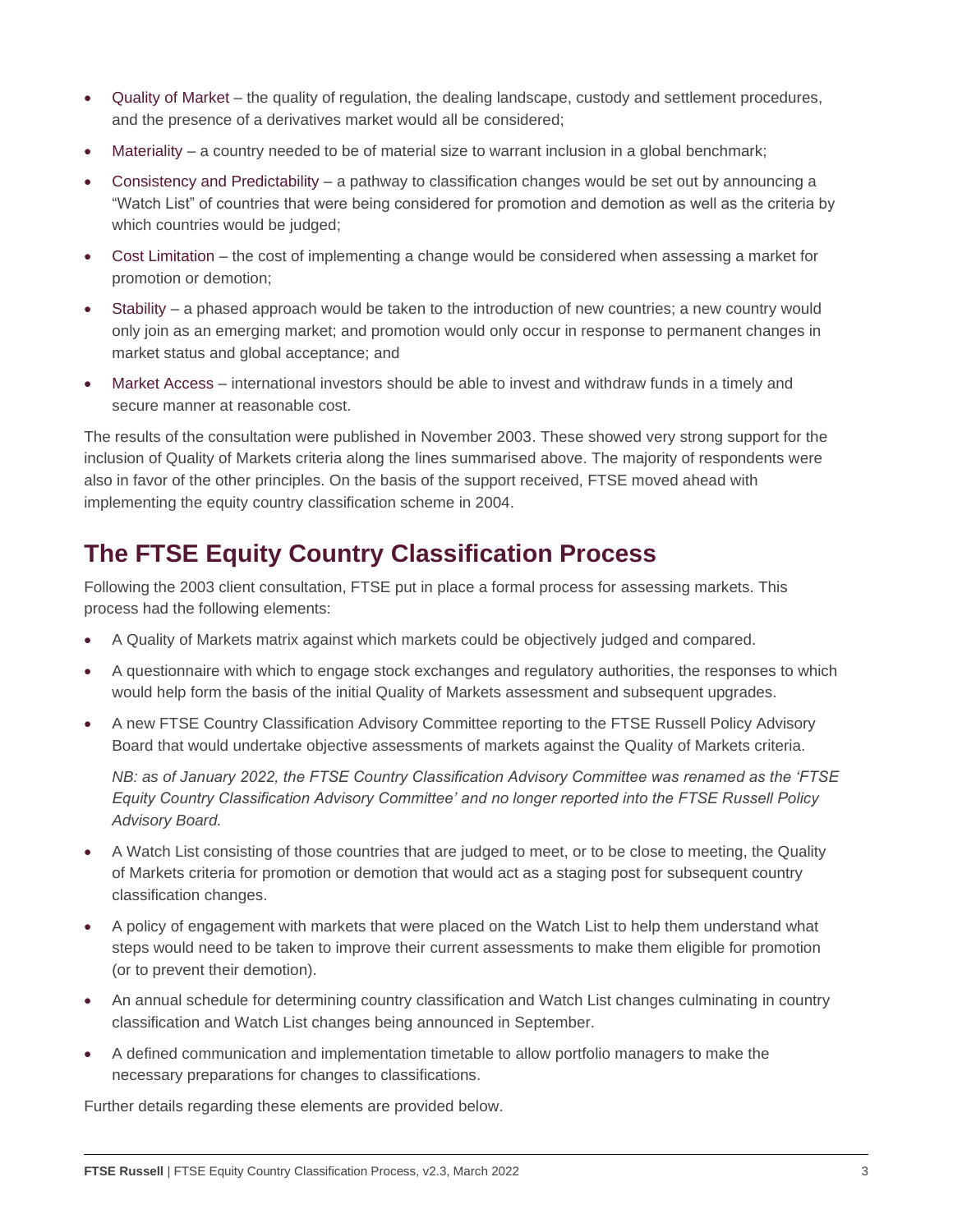- Quality of Market the quality of regulation, the dealing landscape, custody and settlement procedures, and the presence of a derivatives market would all be considered;
- Materiality a country needed to be of material size to warrant inclusion in a global benchmark;
- Consistency and Predictability a pathway to classification changes would be set out by announcing a "Watch List" of countries that were being considered for promotion and demotion as well as the criteria by which countries would be judged;
- Cost Limitation the cost of implementing a change would be considered when assessing a market for promotion or demotion;
- Stability a phased approach would be taken to the introduction of new countries; a new country would only join as an emerging market; and promotion would only occur in response to permanent changes in market status and global acceptance; and
- Market Access international investors should be able to invest and withdraw funds in a timely and secure manner at reasonable cost.

The results of the consultation were published in November 2003. These showed very strong support for the inclusion of Quality of Markets criteria along the lines summarised above. The majority of respondents were also in favor of the other principles. On the basis of the support received, FTSE moved ahead with implementing the equity country classification scheme in 2004.

# **The FTSE Equity Country Classification Process**

Following the 2003 client consultation, FTSE put in place a formal process for assessing markets. This process had the following elements:

- A Quality of Markets matrix against which markets could be objectively judged and compared.
- A questionnaire with which to engage stock exchanges and regulatory authorities, the responses to which would help form the basis of the initial Quality of Markets assessment and subsequent upgrades.
- A new FTSE Country Classification Advisory Committee reporting to the FTSE Russell Policy Advisory Board that would undertake objective assessments of markets against the Quality of Markets criteria.

*NB: as of January 2022, the FTSE Country Classification Advisory Committee was renamed as the 'FTSE Equity Country Classification Advisory Committee' and no longer reported into the FTSE Russell Policy Advisory Board.* 

- A Watch List consisting of those countries that are judged to meet, or to be close to meeting, the Quality of Markets criteria for promotion or demotion that would act as a staging post for subsequent country classification changes.
- A policy of engagement with markets that were placed on the Watch List to help them understand what steps would need to be taken to improve their current assessments to make them eligible for promotion (or to prevent their demotion).
- An annual schedule for determining country classification and Watch List changes culminating in country classification and Watch List changes being announced in September.
- A defined communication and implementation timetable to allow portfolio managers to make the necessary preparations for changes to classifications.

Further details regarding these elements are provided below.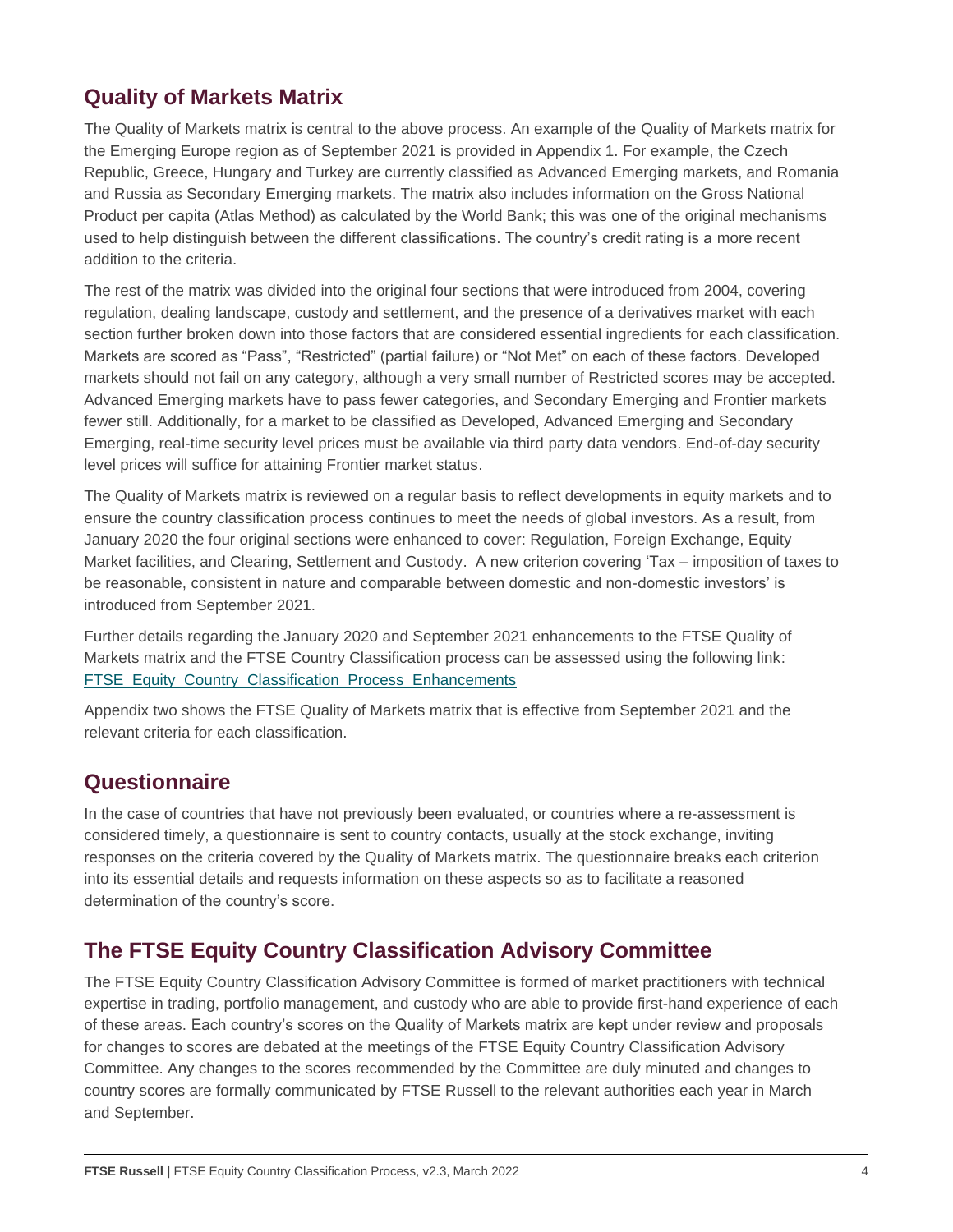# **Quality of Markets Matrix**

The Quality of Markets matrix is central to the above process. An example of the Quality of Markets matrix for the Emerging Europe region as of September 2021 is provided in Appendix 1. For example, the Czech Republic, Greece, Hungary and Turkey are currently classified as Advanced Emerging markets, and Romania and Russia as Secondary Emerging markets. The matrix also includes information on the Gross National Product per capita (Atlas Method) as calculated by the World Bank; this was one of the original mechanisms used to help distinguish between the different classifications. The country's credit rating is a more recent addition to the criteria.

The rest of the matrix was divided into the original four sections that were introduced from 2004, covering regulation, dealing landscape, custody and settlement, and the presence of a derivatives market with each section further broken down into those factors that are considered essential ingredients for each classification. Markets are scored as "Pass", "Restricted" (partial failure) or "Not Met" on each of these factors. Developed markets should not fail on any category, although a very small number of Restricted scores may be accepted. Advanced Emerging markets have to pass fewer categories, and Secondary Emerging and Frontier markets fewer still. Additionally, for a market to be classified as Developed, Advanced Emerging and Secondary Emerging, real-time security level prices must be available via third party data vendors. End-of-day security level prices will suffice for attaining Frontier market status.

The Quality of Markets matrix is reviewed on a regular basis to reflect developments in equity markets and to ensure the country classification process continues to meet the needs of global investors. As a result, from January 2020 the four original sections were enhanced to cover: Regulation, Foreign Exchange, Equity Market facilities, and Clearing, Settlement and Custody. A new criterion covering 'Tax – imposition of taxes to be reasonable, consistent in nature and comparable between domestic and non-domestic investors' is introduced from September 2021.

Further details regarding the January 2020 and September 2021 enhancements to the FTSE Quality of Markets matrix and the FTSE Country Classification process can be assessed using the following link: [FTSE\\_Equity\\_Country\\_Classification\\_Process\\_Enhancements](https://research.ftserussell.com/products/downloads/FTSE_Equity_Country_Classification_Process_Enhancements.pdf)

Appendix two shows the FTSE Quality of Markets matrix that is effective from September 2021 and the relevant criteria for each classification.

### **Questionnaire**

In the case of countries that have not previously been evaluated, or countries where a re-assessment is considered timely, a questionnaire is sent to country contacts, usually at the stock exchange, inviting responses on the criteria covered by the Quality of Markets matrix. The questionnaire breaks each criterion into its essential details and requests information on these aspects so as to facilitate a reasoned determination of the country's score.

# **The FTSE Equity Country Classification Advisory Committee**

The FTSE Equity Country Classification Advisory Committee is formed of market practitioners with technical expertise in trading, portfolio management, and custody who are able to provide first-hand experience of each of these areas. Each country's scores on the Quality of Markets matrix are kept under review and proposals for changes to scores are debated at the meetings of the FTSE Equity Country Classification Advisory Committee. Any changes to the scores recommended by the Committee are duly minuted and changes to country scores are formally communicated by FTSE Russell to the relevant authorities each year in March and September.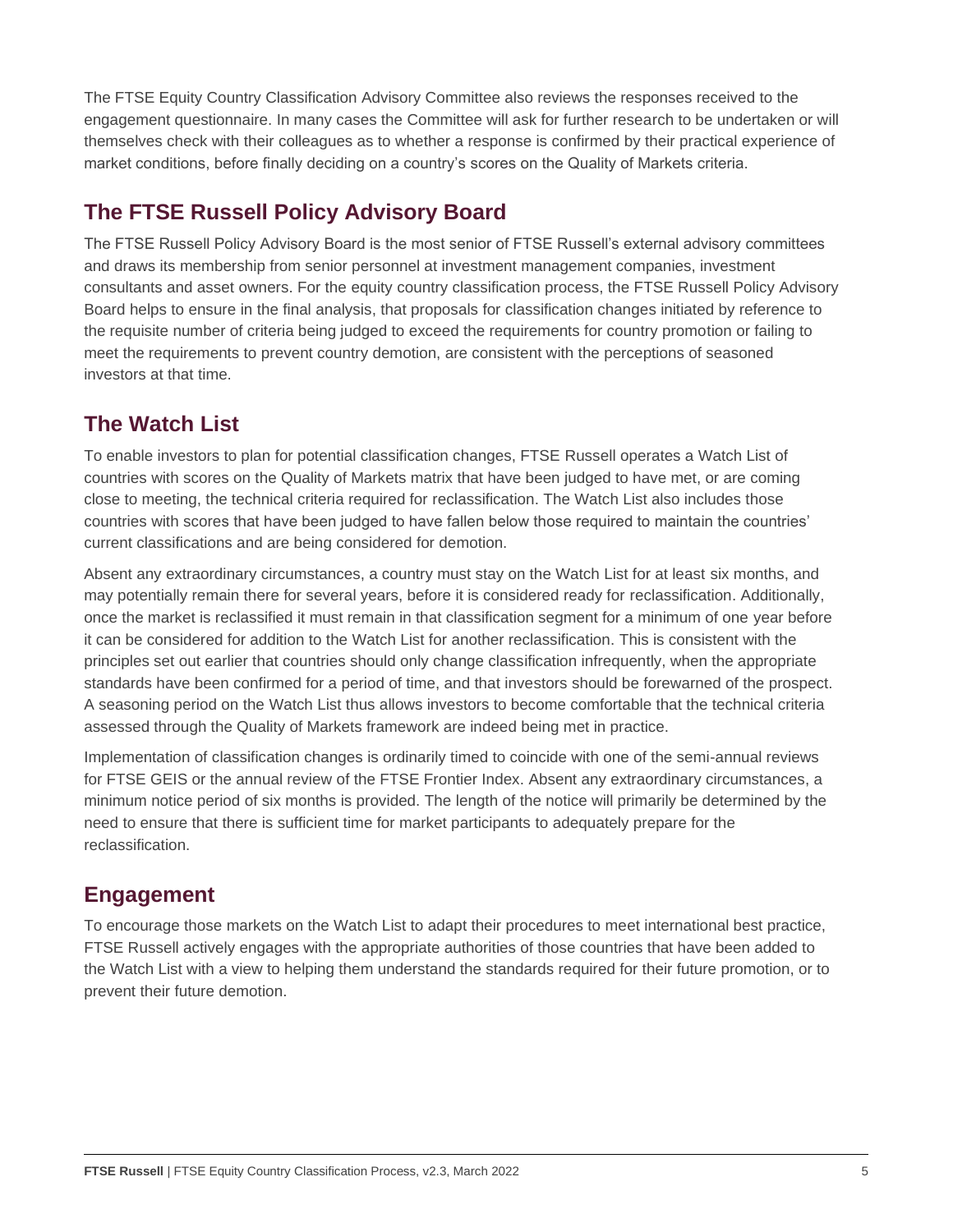The FTSE Equity Country Classification Advisory Committee also reviews the responses received to the engagement questionnaire. In many cases the Committee will ask for further research to be undertaken or will themselves check with their colleagues as to whether a response is confirmed by their practical experience of market conditions, before finally deciding on a country's scores on the Quality of Markets criteria.

# **The FTSE Russell Policy Advisory Board**

The FTSE Russell Policy Advisory Board is the most senior of FTSE Russell's external advisory committees and draws its membership from senior personnel at investment management companies, investment consultants and asset owners. For the equity country classification process, the FTSE Russell Policy Advisory Board helps to ensure in the final analysis, that proposals for classification changes initiated by reference to the requisite number of criteria being judged to exceed the requirements for country promotion or failing to meet the requirements to prevent country demotion, are consistent with the perceptions of seasoned investors at that time.

### **The Watch List**

To enable investors to plan for potential classification changes, FTSE Russell operates a Watch List of countries with scores on the Quality of Markets matrix that have been judged to have met, or are coming close to meeting, the technical criteria required for reclassification. The Watch List also includes those countries with scores that have been judged to have fallen below those required to maintain the countries' current classifications and are being considered for demotion.

Absent any extraordinary circumstances, a country must stay on the Watch List for at least six months, and may potentially remain there for several years, before it is considered ready for reclassification. Additionally, once the market is reclassified it must remain in that classification segment for a minimum of one year before it can be considered for addition to the Watch List for another reclassification. This is consistent with the principles set out earlier that countries should only change classification infrequently, when the appropriate standards have been confirmed for a period of time, and that investors should be forewarned of the prospect. A seasoning period on the Watch List thus allows investors to become comfortable that the technical criteria assessed through the Quality of Markets framework are indeed being met in practice.

Implementation of classification changes is ordinarily timed to coincide with one of the semi-annual reviews for FTSE GEIS or the annual review of the FTSE Frontier Index. Absent any extraordinary circumstances, a minimum notice period of six months is provided. The length of the notice will primarily be determined by the need to ensure that there is sufficient time for market participants to adequately prepare for the reclassification.

### **Engagement**

To encourage those markets on the Watch List to adapt their procedures to meet international best practice, FTSE Russell actively engages with the appropriate authorities of those countries that have been added to the Watch List with a view to helping them understand the standards required for their future promotion, or to prevent their future demotion.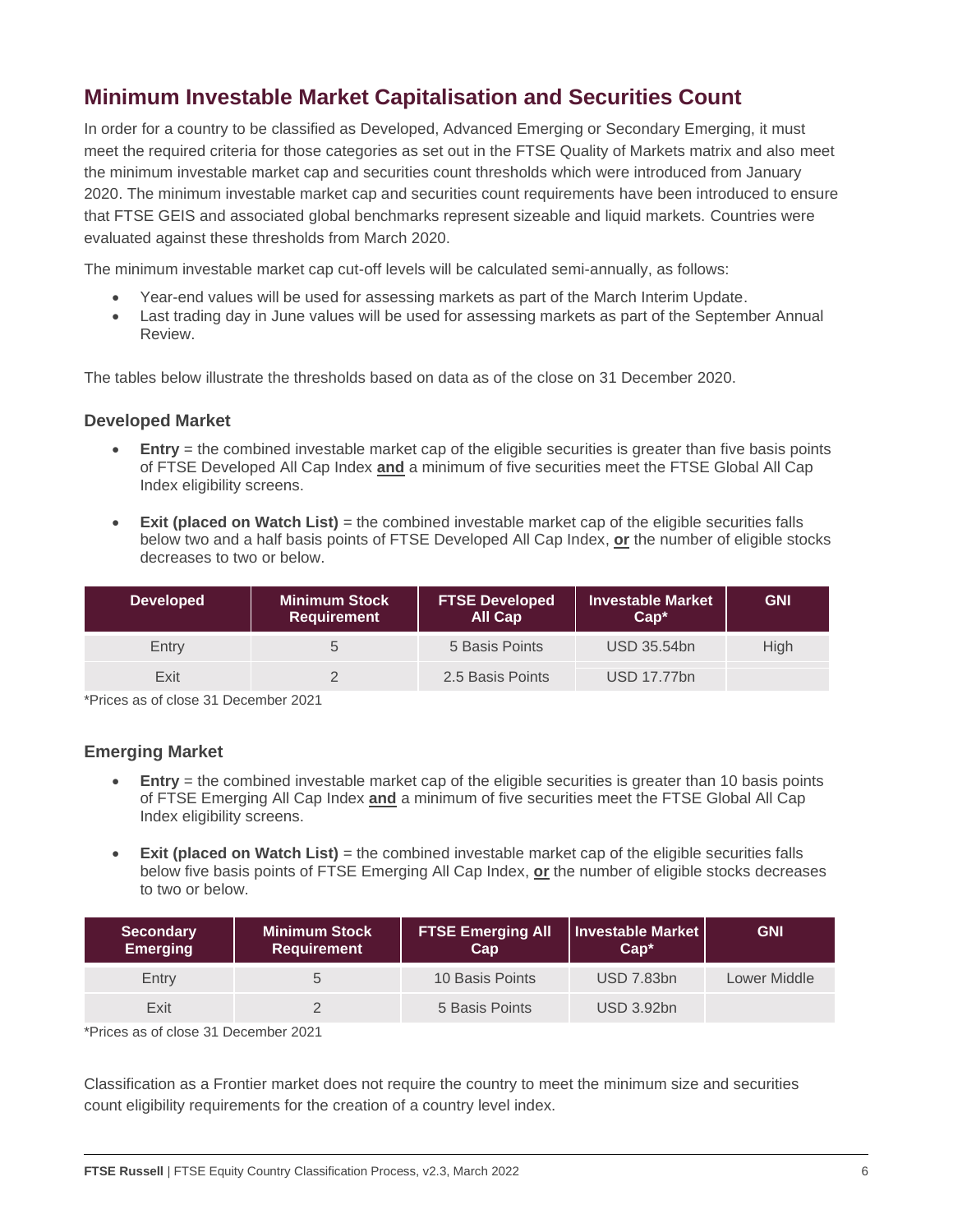# **Minimum Investable Market Capitalisation and Securities Count**

In order for a country to be classified as Developed, Advanced Emerging or Secondary Emerging, it must meet the required criteria for those categories as set out in the FTSE Quality of Markets matrix and also meet the minimum investable market cap and securities count thresholds which were introduced from January 2020. The minimum investable market cap and securities count requirements have been introduced to ensure that FTSE GEIS and associated global benchmarks represent sizeable and liquid markets. Countries were evaluated against these thresholds from March 2020.

The minimum investable market cap cut-off levels will be calculated semi-annually, as follows:

- Year-end values will be used for assessing markets as part of the March Interim Update.
- Last trading day in June values will be used for assessing markets as part of the September Annual Review.

The tables below illustrate the thresholds based on data as of the close on 31 December 2020.

#### **Developed Market**

- **Entry** = the combined investable market cap of the eligible securities is greater than five basis points of FTSE Developed All Cap Index **and** a minimum of five securities meet the FTSE Global All Cap Index eligibility screens.
- **Exit (placed on Watch List)** = the combined investable market cap of the eligible securities falls below two and a half basis points of FTSE Developed All Cap Index, **or** the number of eligible stocks decreases to two or below.

| <b>Developed</b> | Minimum Stock<br><b>Requirement</b> | <b>FTSE Developed</b><br>All Cap | <b>Investable Market</b><br>$Can*$ | <b>GNI</b> |
|------------------|-------------------------------------|----------------------------------|------------------------------------|------------|
| Entry            |                                     | 5 Basis Points                   | <b>USD 35.54bn</b>                 | High       |
| Exit             |                                     | 2.5 Basis Points                 | <b>USD 17.77bn</b>                 |            |

\*Prices as of close 31 December 2021

#### **Emerging Market**

- **Entry** = the combined investable market cap of the eligible securities is greater than 10 basis points of FTSE Emerging All Cap Index **and** a minimum of five securities meet the FTSE Global All Cap Index eligibility screens.
- **Exit (placed on Watch List)** = the combined investable market cap of the eligible securities falls below five basis points of FTSE Emerging All Cap Index, **or** the number of eligible stocks decreases to two or below.

| <b>Secondary</b><br><b>Emerging</b> | <b>Minimum Stock</b><br><b>Requirement</b> | <b>FTSE Emerging All</b><br>Cap | Investable Market<br>$Can*$ | <b>GNI</b>   |
|-------------------------------------|--------------------------------------------|---------------------------------|-----------------------------|--------------|
| Entry                               |                                            | 10 Basis Points                 | <b>USD 7.83bn</b>           | Lower Middle |
| Exit                                |                                            | 5 Basis Points                  | <b>USD 3.92bn</b>           |              |

\*Prices as of close 31 December 2021

Classification as a Frontier market does not require the country to meet the minimum size and securities count eligibility requirements for the creation of a country level index.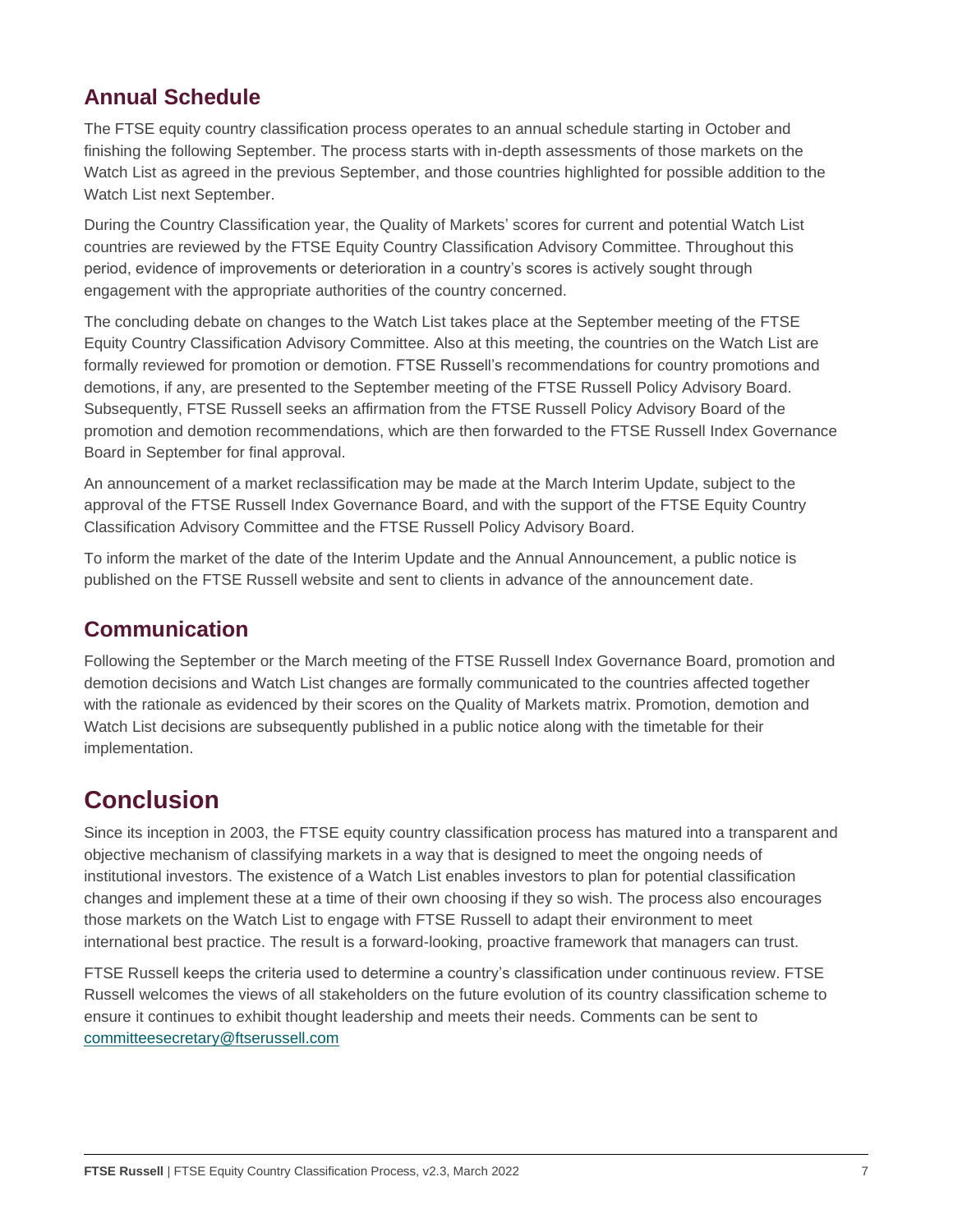# **Annual Schedule**

The FTSE equity country classification process operates to an annual schedule starting in October and finishing the following September. The process starts with in-depth assessments of those markets on the Watch List as agreed in the previous September, and those countries highlighted for possible addition to the Watch List next September.

During the Country Classification year, the Quality of Markets' scores for current and potential Watch List countries are reviewed by the FTSE Equity Country Classification Advisory Committee. Throughout this period, evidence of improvements or deterioration in a country's scores is actively sought through engagement with the appropriate authorities of the country concerned.

The concluding debate on changes to the Watch List takes place at the September meeting of the FTSE Equity Country Classification Advisory Committee. Also at this meeting, the countries on the Watch List are formally reviewed for promotion or demotion. FTSE Russell's recommendations for country promotions and demotions, if any, are presented to the September meeting of the FTSE Russell Policy Advisory Board. Subsequently, FTSE Russell seeks an affirmation from the FTSE Russell Policy Advisory Board of the promotion and demotion recommendations, which are then forwarded to the FTSE Russell Index Governance Board in September for final approval.

An announcement of a market reclassification may be made at the March Interim Update, subject to the approval of the FTSE Russell Index Governance Board, and with the support of the FTSE Equity Country Classification Advisory Committee and the FTSE Russell Policy Advisory Board.

To inform the market of the date of the Interim Update and the Annual Announcement, a public notice is published on the FTSE Russell website and sent to clients in advance of the announcement date.

### **Communication**

Following the September or the March meeting of the FTSE Russell Index Governance Board, promotion and demotion decisions and Watch List changes are formally communicated to the countries affected together with the rationale as evidenced by their scores on the Quality of Markets matrix. Promotion, demotion and Watch List decisions are subsequently published in a public notice along with the timetable for their implementation.

# **Conclusion**

Since its inception in 2003, the FTSE equity country classification process has matured into a transparent and objective mechanism of classifying markets in a way that is designed to meet the ongoing needs of institutional investors. The existence of a Watch List enables investors to plan for potential classification changes and implement these at a time of their own choosing if they so wish. The process also encourages those markets on the Watch List to engage with FTSE Russell to adapt their environment to meet international best practice. The result is a forward-looking, proactive framework that managers can trust.

FTSE Russell keeps the criteria used to determine a country's classification under continuous review. FTSE Russell welcomes the views of all stakeholders on the future evolution of its country classification scheme to ensure it continues to exhibit thought leadership and meets their needs. Comments can be sent to [committeesecretary@ftserussell.com](file:///C:/Users/satish.parulekar/Desktop/committeesecretary@ftserussell.com)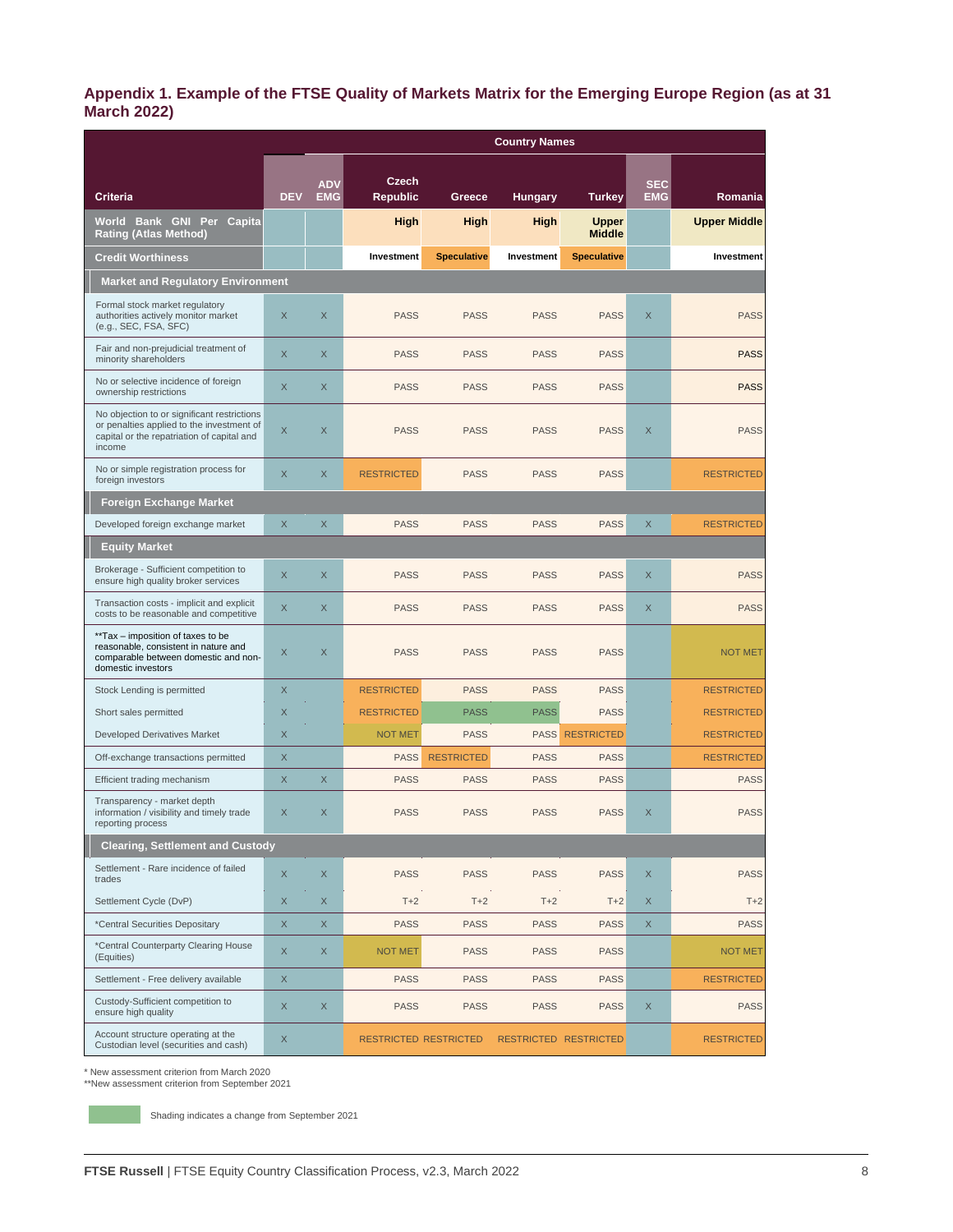#### **Appendix 1. Example of the FTSE Quality of Markets Matrix for the Emerging Europe Region (as at 31 March 2022)**

|                                                                                                                                                  | <b>Country Names</b> |                          |                              |                    |                       |                               |                          |                     |
|--------------------------------------------------------------------------------------------------------------------------------------------------|----------------------|--------------------------|------------------------------|--------------------|-----------------------|-------------------------------|--------------------------|---------------------|
|                                                                                                                                                  |                      |                          |                              |                    |                       |                               |                          |                     |
| <b>Criteria</b>                                                                                                                                  | <b>DEV</b>           | <b>ADV</b><br><b>EMG</b> | Czech<br><b>Republic</b>     | Greece             | <b>Hungary</b>        | <b>Turkey</b>                 | <b>SEC</b><br><b>EMG</b> | Romania             |
| World Bank GNI Per Capita<br><b>Rating (Atlas Method)</b>                                                                                        |                      |                          | <b>High</b>                  | High               | High                  | <b>Upper</b><br><b>Middle</b> |                          | <b>Upper Middle</b> |
| <b>Credit Worthiness</b>                                                                                                                         |                      |                          | Investment                   | <b>Speculative</b> | Investment            | <b>Speculative</b>            |                          | Investment          |
| <b>Market and Regulatory Environment</b>                                                                                                         |                      |                          |                              |                    |                       |                               |                          |                     |
| Formal stock market regulatory<br>authorities actively monitor market<br>(e.g., SEC, FSA, SFC)                                                   | X                    | X                        | <b>PASS</b>                  | <b>PASS</b>        | <b>PASS</b>           | <b>PASS</b>                   | X                        | <b>PASS</b>         |
| Fair and non-prejudicial treatment of<br>minority shareholders                                                                                   | $\times$             | X                        | <b>PASS</b>                  | <b>PASS</b>        | <b>PASS</b>           | <b>PASS</b>                   |                          | <b>PASS</b>         |
| No or selective incidence of foreign<br>ownership restrictions                                                                                   | $\times$             | X                        | <b>PASS</b>                  | <b>PASS</b>        | <b>PASS</b>           | <b>PASS</b>                   |                          | <b>PASS</b>         |
| No objection to or significant restrictions<br>or penalties applied to the investment of<br>capital or the repatriation of capital and<br>income | X                    | X                        | <b>PASS</b>                  | <b>PASS</b>        | <b>PASS</b>           | <b>PASS</b>                   | X                        | <b>PASS</b>         |
| No or simple registration process for<br>foreign investors                                                                                       | $\mathsf X$          | X                        | <b>RESTRICTED</b>            | <b>PASS</b>        | <b>PASS</b>           | <b>PASS</b>                   |                          | <b>RESTRICTED</b>   |
| <b>Foreign Exchange Market</b>                                                                                                                   |                      |                          |                              |                    |                       |                               |                          |                     |
| Developed foreign exchange market                                                                                                                | $\times$             | $\times$                 | <b>PASS</b>                  | <b>PASS</b>        | <b>PASS</b>           | <b>PASS</b>                   | $\times$                 | <b>RESTRICTED</b>   |
| <b>Equity Market</b>                                                                                                                             |                      |                          |                              |                    |                       |                               |                          |                     |
| Brokerage - Sufficient competition to<br>ensure high quality broker services                                                                     | X                    | X                        | <b>PASS</b>                  | <b>PASS</b>        | <b>PASS</b>           | <b>PASS</b>                   | X                        | <b>PASS</b>         |
| Transaction costs - implicit and explicit<br>costs to be reasonable and competitive                                                              | $\times$             | X                        | <b>PASS</b>                  | <b>PASS</b>        | <b>PASS</b>           | <b>PASS</b>                   | X                        | <b>PASS</b>         |
| **Tax - imposition of taxes to be<br>reasonable, consistent in nature and<br>comparable between domestic and non-<br>domestic investors          | X                    | X                        | <b>PASS</b>                  | <b>PASS</b>        | <b>PASS</b>           | <b>PASS</b>                   |                          | <b>NOT MET</b>      |
| Stock Lending is permitted                                                                                                                       | $\times$             |                          | <b>RESTRICTED</b>            | <b>PASS</b>        | <b>PASS</b>           | <b>PASS</b>                   |                          | <b>RESTRICTED</b>   |
| Short sales permitted                                                                                                                            | $\mathsf X$          |                          | <b>RESTRICTED</b>            | <b>PASS</b>        | <b>PASS</b>           | <b>PASS</b>                   |                          | <b>RESTRICTED</b>   |
| <b>Developed Derivatives Market</b>                                                                                                              | X                    |                          | <b>NOT MET</b>               | <b>PASS</b>        | <b>PASS</b>           | <b>RESTRICTED</b>             |                          | <b>RESTRICTED</b>   |
| Off-exchange transactions permitted                                                                                                              | X                    |                          | <b>PASS</b>                  | <b>RESTRICTED</b>  | <b>PASS</b>           | <b>PASS</b>                   |                          | <b>RESTRICTED</b>   |
| Efficient trading mechanism                                                                                                                      | X                    | X                        | <b>PASS</b>                  | <b>PASS</b>        | <b>PASS</b>           | <b>PASS</b>                   |                          | <b>PASS</b>         |
| Transparency - market depth<br>information / visibility and timely trade<br>reporting process                                                    | X                    | X                        | <b>PASS</b>                  | <b>PASS</b>        | <b>PASS</b>           | <b>PASS</b>                   | X                        | <b>PASS</b>         |
| <b>Clearing, Settlement and Custody</b>                                                                                                          |                      |                          |                              |                    |                       |                               |                          |                     |
| Settlement - Rare incidence of failed<br>trades                                                                                                  | $\mathsf X$          | $\mathsf X$              | <b>PASS</b>                  | <b>PASS</b>        | <b>PASS</b>           | <b>PASS</b>                   | $\times$                 | <b>PASS</b>         |
| Settlement Cycle (DvP)                                                                                                                           | $\mathsf X$          | $\mathsf X$              | $T+2$                        | $T+2$              | $T+2$                 | $T+2$                         | X                        | $T+2$               |
| *Central Securities Depositary                                                                                                                   | X                    | X                        | <b>PASS</b>                  | <b>PASS</b>        | <b>PASS</b>           | <b>PASS</b>                   | X                        | <b>PASS</b>         |
| *Central Counterparty Clearing House<br>(Equities)                                                                                               | X                    | X                        | <b>NOT MET</b>               | <b>PASS</b>        | <b>PASS</b>           | <b>PASS</b>                   |                          | <b>NOT MET</b>      |
| Settlement - Free delivery available                                                                                                             | $\mathsf X$          |                          | <b>PASS</b>                  | <b>PASS</b>        | <b>PASS</b>           | <b>PASS</b>                   |                          | <b>RESTRICTED</b>   |
| Custody-Sufficient competition to<br>ensure high quality                                                                                         | X                    | X                        | <b>PASS</b>                  | <b>PASS</b>        | <b>PASS</b>           | <b>PASS</b>                   | X                        | <b>PASS</b>         |
| Account structure operating at the<br>Custodian level (securities and cash)                                                                      | X                    |                          | <b>RESTRICTED RESTRICTED</b> |                    | RESTRICTED RESTRICTED |                               |                          | <b>RESTRICTED</b>   |

\* New assessment criterion from March 2020 \*\*New assessment criterion from September 2021

Shading indicates a change from September 2021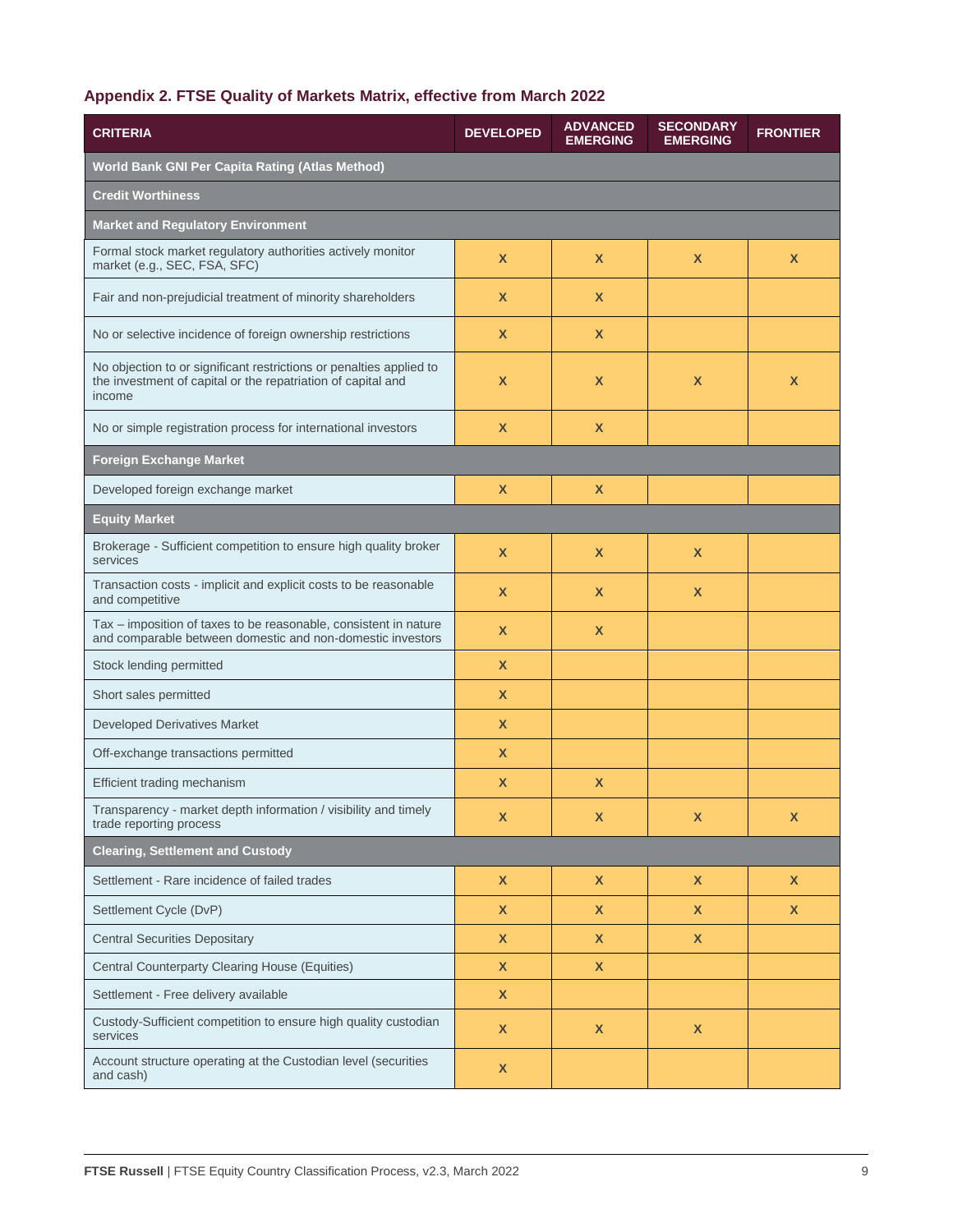#### **Appendix 2. FTSE Quality of Markets Matrix, effective from March 2022**

| <b>CRITERIA</b>                                                                                                                               | <b>DEVELOPED</b>          | <b>ADVANCED</b><br><b>EMERGING</b> | <b>SECONDARY</b><br><b>EMERGING</b> | <b>FRONTIER</b> |  |
|-----------------------------------------------------------------------------------------------------------------------------------------------|---------------------------|------------------------------------|-------------------------------------|-----------------|--|
| World Bank GNI Per Capita Rating (Atlas Method)                                                                                               |                           |                                    |                                     |                 |  |
| <b>Credit Worthiness</b>                                                                                                                      |                           |                                    |                                     |                 |  |
| <b>Market and Regulatory Environment</b>                                                                                                      |                           |                                    |                                     |                 |  |
| Formal stock market regulatory authorities actively monitor<br>market (e.g., SEC, FSA, SFC)                                                   | X                         | X                                  | X                                   | X               |  |
| Fair and non-prejudicial treatment of minority shareholders                                                                                   | X                         | X                                  |                                     |                 |  |
| No or selective incidence of foreign ownership restrictions                                                                                   | X                         | X                                  |                                     |                 |  |
| No objection to or significant restrictions or penalties applied to<br>the investment of capital or the repatriation of capital and<br>income | X                         | X                                  | X                                   | X               |  |
| No or simple registration process for international investors                                                                                 | X                         | X                                  |                                     |                 |  |
| <b>Foreign Exchange Market</b>                                                                                                                |                           |                                    |                                     |                 |  |
| Developed foreign exchange market                                                                                                             | $\boldsymbol{\mathsf{x}}$ | X                                  |                                     |                 |  |
| <b>Equity Market</b>                                                                                                                          |                           |                                    |                                     |                 |  |
| Brokerage - Sufficient competition to ensure high quality broker<br>services                                                                  | $\mathbf x$               | X                                  | X                                   |                 |  |
| Transaction costs - implicit and explicit costs to be reasonable<br>and competitive                                                           | X                         | X                                  | X                                   |                 |  |
| Tax - imposition of taxes to be reasonable, consistent in nature<br>and comparable between domestic and non-domestic investors                | X                         | X                                  |                                     |                 |  |
| Stock lending permitted                                                                                                                       | $\boldsymbol{\mathsf{x}}$ |                                    |                                     |                 |  |
| Short sales permitted                                                                                                                         | X                         |                                    |                                     |                 |  |
| <b>Developed Derivatives Market</b>                                                                                                           | X                         |                                    |                                     |                 |  |
| Off-exchange transactions permitted                                                                                                           | X                         |                                    |                                     |                 |  |
| Efficient trading mechanism                                                                                                                   | X                         | X                                  |                                     |                 |  |
| Transparency - market depth information / visibility and timely<br>trade reporting process                                                    | х                         |                                    |                                     | х               |  |
| <b>Clearing, Settlement and Custody</b>                                                                                                       |                           |                                    |                                     |                 |  |
| Settlement - Rare incidence of failed trades                                                                                                  | $\mathsf{x}$              | $\pmb{\mathsf{X}}$                 | $\boldsymbol{\mathsf{X}}$           | $\mathsf{X}$    |  |
| Settlement Cycle (DvP)                                                                                                                        | $\mathsf{x}$              | $\mathsf{X}$                       | $\mathsf{x}$                        | $\mathsf{X}$    |  |
| <b>Central Securities Depositary</b>                                                                                                          | $\mathsf{x}$              | $\mathsf{X}$                       | $\mathsf{x}$                        |                 |  |
| Central Counterparty Clearing House (Equities)                                                                                                | $\mathsf{x}$              | <b>X</b>                           |                                     |                 |  |
| Settlement - Free delivery available                                                                                                          | $\mathsf{x}$              |                                    |                                     |                 |  |
| Custody-Sufficient competition to ensure high quality custodian<br>services                                                                   | $\mathsf{x}$              | $\mathsf{x}$                       | $\mathsf{x}$                        |                 |  |
| Account structure operating at the Custodian level (securities<br>and cash)                                                                   | $\pmb{\mathsf{X}}$        |                                    |                                     |                 |  |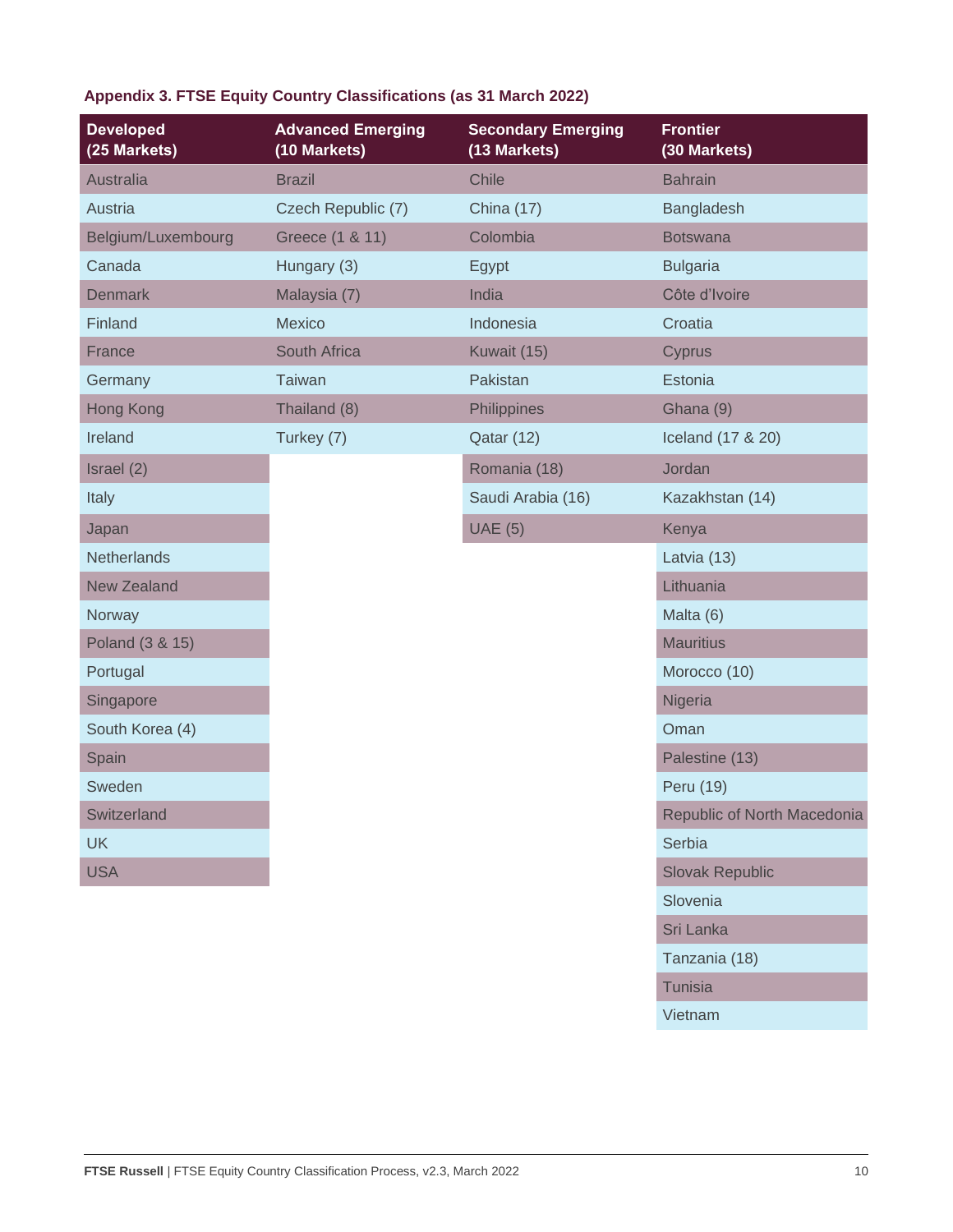### **Appendix 3. FTSE Equity Country Classifications (as 31 March 2022)**

| <b>Developed</b><br>(25 Markets) | <b>Advanced Emerging</b><br>(10 Markets) | <b>Secondary Emerging</b><br>(13 Markets) | <b>Frontier</b><br>(30 Markets) |
|----------------------------------|------------------------------------------|-------------------------------------------|---------------------------------|
| Australia                        | <b>Brazil</b>                            | Chile                                     | <b>Bahrain</b>                  |
| Austria                          | Czech Republic (7)                       | <b>China (17)</b>                         | Bangladesh                      |
| Belgium/Luxembourg               | Greece (1 & 11)                          | Colombia                                  | <b>Botswana</b>                 |
| Canada                           | Hungary (3)                              | Egypt                                     | <b>Bulgaria</b>                 |
| <b>Denmark</b>                   | Malaysia (7)                             | India                                     | Côte d'Ivoire                   |
| Finland                          | <b>Mexico</b>                            | Indonesia                                 | Croatia                         |
| France                           | South Africa                             | Kuwait (15)                               | Cyprus                          |
| Germany                          | <b>Taiwan</b>                            | Pakistan                                  | Estonia                         |
| Hong Kong                        | Thailand (8)                             | Philippines                               | Ghana (9)                       |
| Ireland                          | Turkey (7)                               | Qatar (12)                                | Iceland (17 & 20)               |
| Israel (2)                       |                                          | Romania (18)                              | Jordan                          |
| Italy                            |                                          | Saudi Arabia (16)                         | Kazakhstan (14)                 |
| Japan                            |                                          | <b>UAE</b> (5)                            | Kenya                           |
| <b>Netherlands</b>               |                                          |                                           | Latvia (13)                     |
| <b>New Zealand</b>               |                                          |                                           | Lithuania                       |
| Norway                           |                                          |                                           | Malta (6)                       |
| Poland (3 & 15)                  |                                          |                                           | <b>Mauritius</b>                |
| Portugal                         |                                          |                                           | Morocco (10)                    |
| Singapore                        |                                          |                                           | Nigeria                         |
| South Korea (4)                  |                                          |                                           | Oman                            |
| Spain                            |                                          |                                           | Palestine (13)                  |
| Sweden                           |                                          |                                           | Peru (19)                       |
| Switzerland                      |                                          |                                           | Republic of North Macedonia     |
| <b>UK</b>                        |                                          |                                           | Serbia                          |
| <b>USA</b>                       |                                          |                                           | <b>Slovak Republic</b>          |
|                                  |                                          |                                           | Slovenia                        |
|                                  |                                          |                                           | Sri Lanka                       |
|                                  |                                          |                                           | Tanzania (18)                   |
|                                  |                                          |                                           | <b>Tunisia</b>                  |
|                                  |                                          |                                           | Vietnam                         |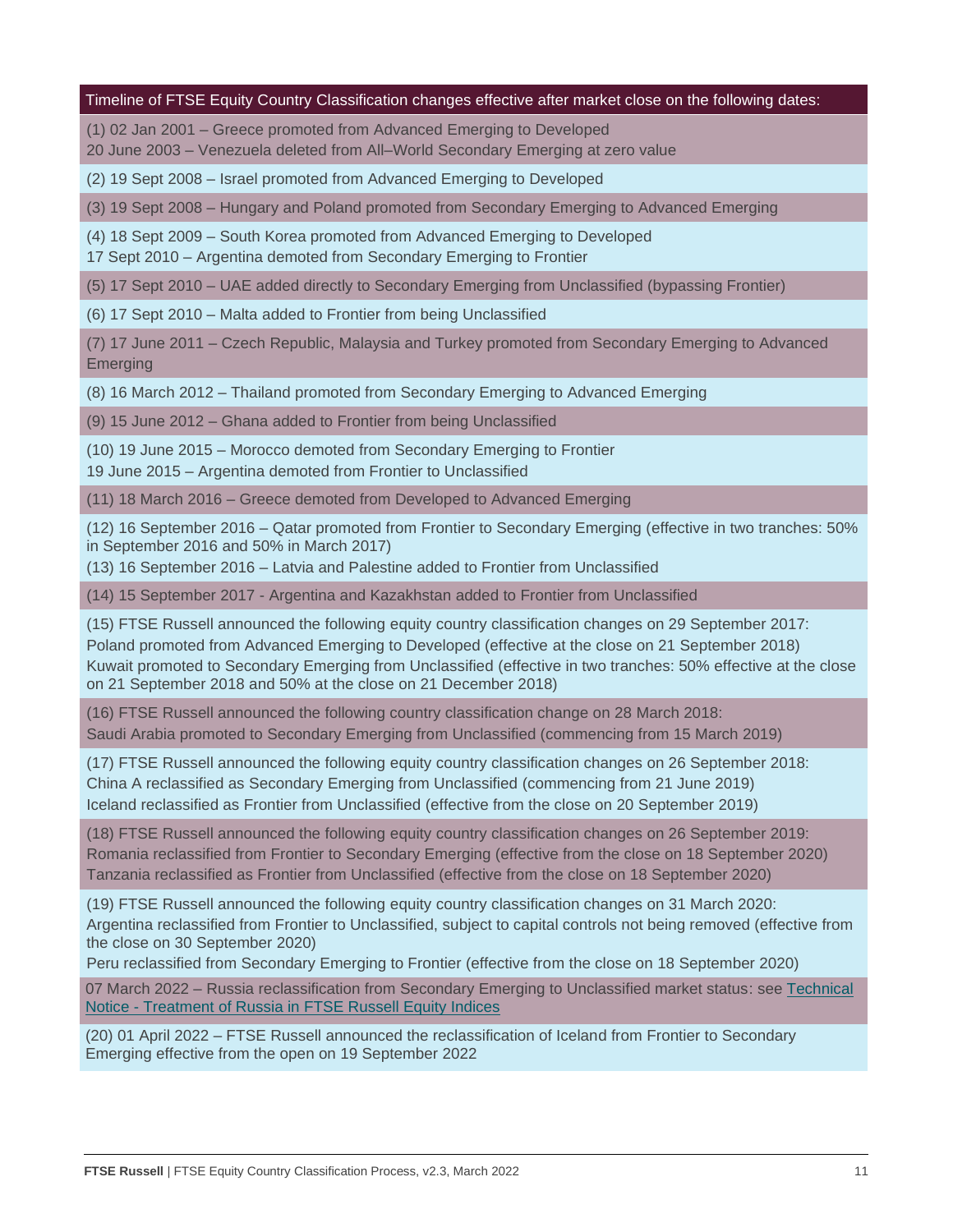#### Timeline of FTSE Equity Country Classification changes effective after market close on the following dates:

(1) 02 Jan 2001 – Greece promoted from Advanced Emerging to Developed

20 June 2003 – Venezuela deleted from All–World Secondary Emerging at zero value

(2) 19 Sept 2008 – Israel promoted from Advanced Emerging to Developed

(3) 19 Sept 2008 – Hungary and Poland promoted from Secondary Emerging to Advanced Emerging

(4) 18 Sept 2009 – South Korea promoted from Advanced Emerging to Developed

17 Sept 2010 – Argentina demoted from Secondary Emerging to Frontier

(5) 17 Sept 2010 – UAE added directly to Secondary Emerging from Unclassified (bypassing Frontier)

(6) 17 Sept 2010 – Malta added to Frontier from being Unclassified

(7) 17 June 2011 – Czech Republic, Malaysia and Turkey promoted from Secondary Emerging to Advanced Emerging

(8) 16 March 2012 – Thailand promoted from Secondary Emerging to Advanced Emerging

(9) 15 June 2012 – Ghana added to Frontier from being Unclassified

(10) 19 June 2015 – Morocco demoted from Secondary Emerging to Frontier

19 June 2015 – Argentina demoted from Frontier to Unclassified

(11) 18 March 2016 – Greece demoted from Developed to Advanced Emerging

(12) 16 September 2016 – Qatar promoted from Frontier to Secondary Emerging (effective in two tranches: 50% in September 2016 and 50% in March 2017)

(13) 16 September 2016 – Latvia and Palestine added to Frontier from Unclassified

(14) 15 September 2017 - Argentina and Kazakhstan added to Frontier from Unclassified

(15) FTSE Russell announced the following equity country classification changes on 29 September 2017: Poland promoted from Advanced Emerging to Developed (effective at the close on 21 September 2018) Kuwait promoted to Secondary Emerging from Unclassified (effective in two tranches: 50% effective at the close on 21 September 2018 and 50% at the close on 21 December 2018)

(16) FTSE Russell announced the following country classification change on 28 March 2018: Saudi Arabia promoted to Secondary Emerging from Unclassified (commencing from 15 March 2019)

(17) FTSE Russell announced the following equity country classification changes on 26 September 2018: China A reclassified as Secondary Emerging from Unclassified (commencing from 21 June 2019) Iceland reclassified as Frontier from Unclassified (effective from the close on 20 September 2019)

(18) FTSE Russell announced the following equity country classification changes on 26 September 2019: Romania reclassified from Frontier to Secondary Emerging (effective from the close on 18 September 2020) Tanzania reclassified as Frontier from Unclassified (effective from the close on 18 September 2020)

(19) FTSE Russell announced the following equity country classification changes on 31 March 2020: Argentina reclassified from Frontier to Unclassified, subject to capital controls not being removed (effective from the close on 30 September 2020)

Peru reclassified from Secondary Emerging to Frontier (effective from the close on 18 September 2020)

07 March 2022 – Russia reclassification from Secondary Emerging to Unclassified market status: see [Technical](https://research.ftserussell.com/products/index-notices/home/getnotice/?id=2603553)  Notice - [Treatment of Russia in FTSE Russell Equity Indices](https://research.ftserussell.com/products/index-notices/home/getnotice/?id=2603553)

(20) 01 April 2022 – FTSE Russell announced the reclassification of Iceland from Frontier to Secondary Emerging effective from the open on 19 September 2022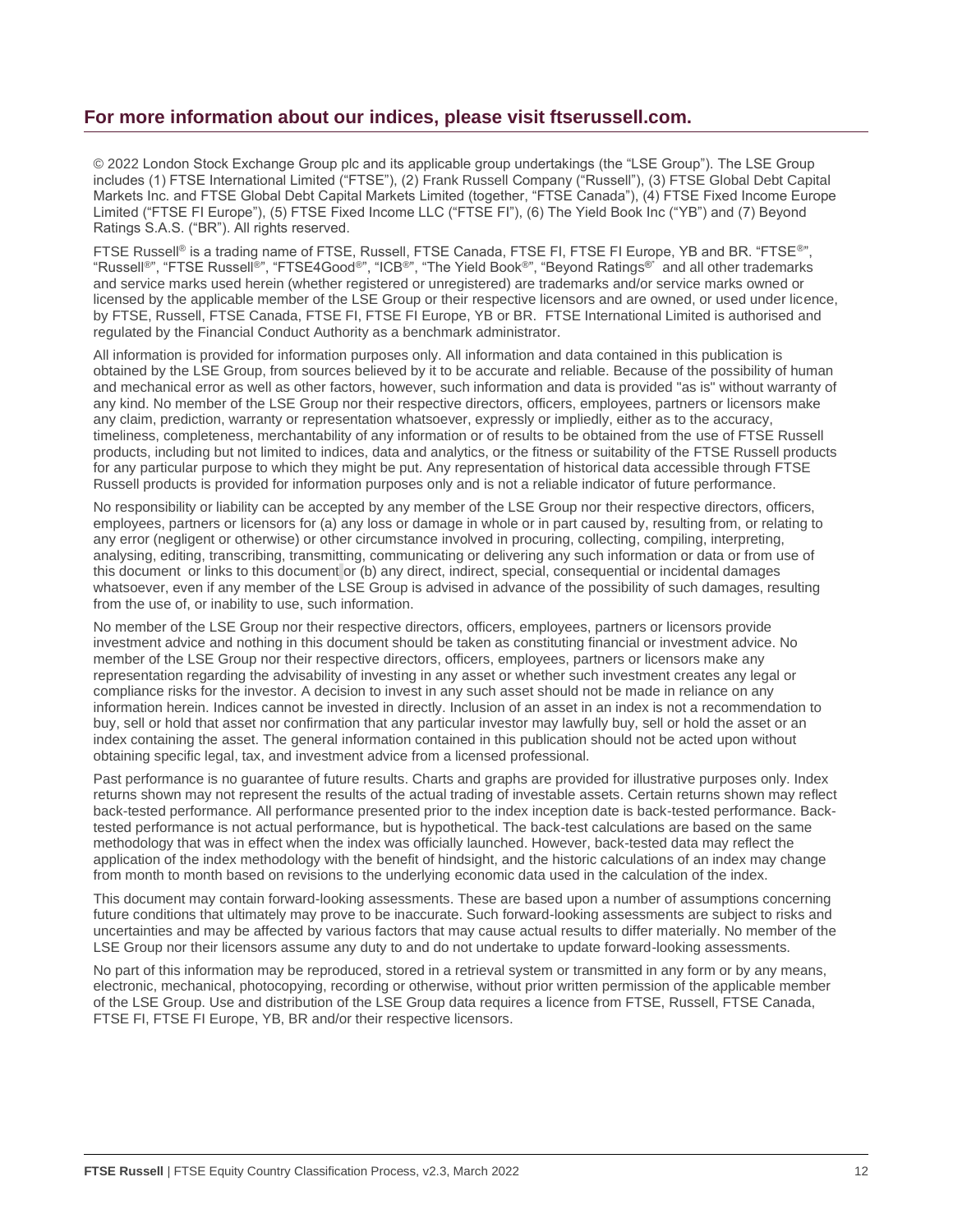#### **For more information about our indices, please visit ftserussell.com.**

© 2022 London Stock Exchange Group plc and its applicable group undertakings (the "LSE Group"). The LSE Group includes (1) FTSE International Limited ("FTSE"), (2) Frank Russell Company ("Russell"), (3) FTSE Global Debt Capital Markets Inc. and FTSE Global Debt Capital Markets Limited (together, "FTSE Canada"), (4) FTSE Fixed Income Europe Limited ("FTSE FI Europe"), (5) FTSE Fixed Income LLC ("FTSE FI"), (6) The Yield Book Inc ("YB") and (7) Beyond Ratings S.A.S. ("BR"). All rights reserved.

FTSE Russell® is a trading name of FTSE, Russell, FTSE Canada, FTSE FI, FTSE FI Europe, YB and BR. "FTSE®", "Russell®", "FTSE Russell®", "FTSE4Good®", "ICB®", "The Yield Book®", "Beyond Ratings®" and all other trademarks and service marks used herein (whether registered or unregistered) are trademarks and/or service marks owned or licensed by the applicable member of the LSE Group or their respective licensors and are owned, or used under licence, by FTSE, Russell, FTSE Canada, FTSE FI, FTSE FI Europe, YB or BR. FTSE International Limited is authorised and regulated by the Financial Conduct Authority as a benchmark administrator.

All information is provided for information purposes only. All information and data contained in this publication is obtained by the LSE Group, from sources believed by it to be accurate and reliable. Because of the possibility of human and mechanical error as well as other factors, however, such information and data is provided "as is" without warranty of any kind. No member of the LSE Group nor their respective directors, officers, employees, partners or licensors make any claim, prediction, warranty or representation whatsoever, expressly or impliedly, either as to the accuracy, timeliness, completeness, merchantability of any information or of results to be obtained from the use of FTSE Russell products, including but not limited to indices, data and analytics, or the fitness or suitability of the FTSE Russell products for any particular purpose to which they might be put. Any representation of historical data accessible through FTSE Russell products is provided for information purposes only and is not a reliable indicator of future performance.

No responsibility or liability can be accepted by any member of the LSE Group nor their respective directors, officers, employees, partners or licensors for (a) any loss or damage in whole or in part caused by, resulting from, or relating to any error (negligent or otherwise) or other circumstance involved in procuring, collecting, compiling, interpreting, analysing, editing, transcribing, transmitting, communicating or delivering any such information or data or from use of this document or links to this document or (b) any direct, indirect, special, consequential or incidental damages whatsoever, even if any member of the LSE Group is advised in advance of the possibility of such damages, resulting from the use of, or inability to use, such information.

No member of the LSE Group nor their respective directors, officers, employees, partners or licensors provide investment advice and nothing in this document should be taken as constituting financial or investment advice. No member of the LSE Group nor their respective directors, officers, employees, partners or licensors make any representation regarding the advisability of investing in any asset or whether such investment creates any legal or compliance risks for the investor. A decision to invest in any such asset should not be made in reliance on any information herein. Indices cannot be invested in directly. Inclusion of an asset in an index is not a recommendation to buy, sell or hold that asset nor confirmation that any particular investor may lawfully buy, sell or hold the asset or an index containing the asset. The general information contained in this publication should not be acted upon without obtaining specific legal, tax, and investment advice from a licensed professional.

Past performance is no guarantee of future results. Charts and graphs are provided for illustrative purposes only. Index returns shown may not represent the results of the actual trading of investable assets. Certain returns shown may reflect back-tested performance. All performance presented prior to the index inception date is back-tested performance. Backtested performance is not actual performance, but is hypothetical. The back-test calculations are based on the same methodology that was in effect when the index was officially launched. However, back-tested data may reflect the application of the index methodology with the benefit of hindsight, and the historic calculations of an index may change from month to month based on revisions to the underlying economic data used in the calculation of the index.

This document may contain forward-looking assessments. These are based upon a number of assumptions concerning future conditions that ultimately may prove to be inaccurate. Such forward-looking assessments are subject to risks and uncertainties and may be affected by various factors that may cause actual results to differ materially. No member of the LSE Group nor their licensors assume any duty to and do not undertake to update forward-looking assessments.

No part of this information may be reproduced, stored in a retrieval system or transmitted in any form or by any means, electronic, mechanical, photocopying, recording or otherwise, without prior written permission of the applicable member of the LSE Group. Use and distribution of the LSE Group data requires a licence from FTSE, Russell, FTSE Canada, FTSE FI, FTSE FI Europe, YB, BR and/or their respective licensors.